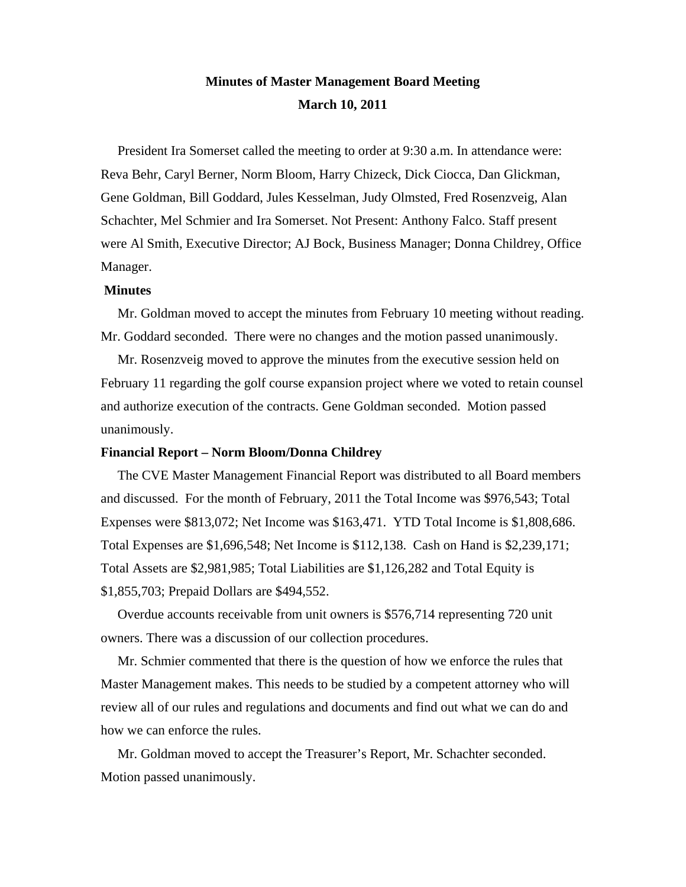# **Minutes of Master Management Board Meeting March 10, 2011**

 President Ira Somerset called the meeting to order at 9:30 a.m. In attendance were: Reva Behr, Caryl Berner, Norm Bloom, Harry Chizeck, Dick Ciocca, Dan Glickman, Gene Goldman, Bill Goddard, Jules Kesselman, Judy Olmsted, Fred Rosenzveig, Alan Schachter, Mel Schmier and Ira Somerset. Not Present: Anthony Falco. Staff present were Al Smith, Executive Director; AJ Bock, Business Manager; Donna Childrey, Office Manager.

## **Minutes**

 Mr. Goldman moved to accept the minutes from February 10 meeting without reading. Mr. Goddard seconded. There were no changes and the motion passed unanimously.

 Mr. Rosenzveig moved to approve the minutes from the executive session held on February 11 regarding the golf course expansion project where we voted to retain counsel and authorize execution of the contracts. Gene Goldman seconded. Motion passed unanimously.

### **Financial Report – Norm Bloom/Donna Childrey**

 The CVE Master Management Financial Report was distributed to all Board members and discussed. For the month of February, 2011 the Total Income was \$976,543; Total Expenses were \$813,072; Net Income was \$163,471. YTD Total Income is \$1,808,686. Total Expenses are \$1,696,548; Net Income is \$112,138. Cash on Hand is \$2,239,171; Total Assets are \$2,981,985; Total Liabilities are \$1,126,282 and Total Equity is \$1,855,703; Prepaid Dollars are \$494,552.

 Overdue accounts receivable from unit owners is \$576,714 representing 720 unit owners. There was a discussion of our collection procedures.

 Mr. Schmier commented that there is the question of how we enforce the rules that Master Management makes. This needs to be studied by a competent attorney who will review all of our rules and regulations and documents and find out what we can do and how we can enforce the rules.

 Mr. Goldman moved to accept the Treasurer's Report, Mr. Schachter seconded. Motion passed unanimously.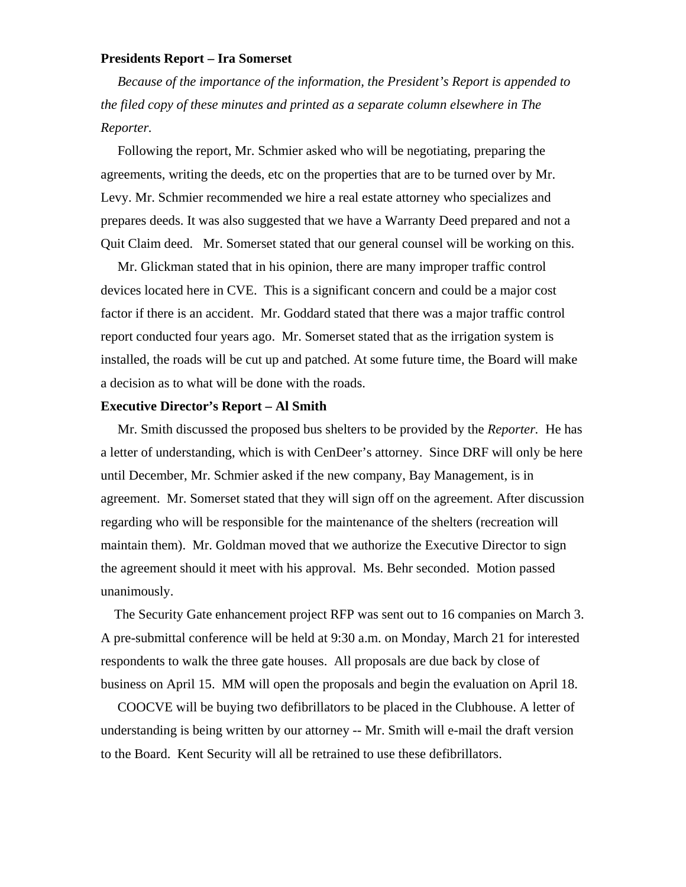# **Presidents Report – Ira Somerset**

*Because of the importance of the information, the President's Report is appended to the filed copy of these minutes and printed as a separate column elsewhere in The Reporter.*

 Following the report, Mr. Schmier asked who will be negotiating, preparing the agreements, writing the deeds, etc on the properties that are to be turned over by Mr. Levy. Mr. Schmier recommended we hire a real estate attorney who specializes and prepares deeds. It was also suggested that we have a Warranty Deed prepared and not a Quit Claim deed. Mr. Somerset stated that our general counsel will be working on this.

 Mr. Glickman stated that in his opinion, there are many improper traffic control devices located here in CVE. This is a significant concern and could be a major cost factor if there is an accident. Mr. Goddard stated that there was a major traffic control report conducted four years ago. Mr. Somerset stated that as the irrigation system is installed, the roads will be cut up and patched. At some future time, the Board will make a decision as to what will be done with the roads.

# **Executive Director's Report – Al Smith**

 Mr. Smith discussed the proposed bus shelters to be provided by the *Reporter.* He has a letter of understanding, which is with CenDeer's attorney. Since DRF will only be here until December, Mr. Schmier asked if the new company, Bay Management, is in agreement. Mr. Somerset stated that they will sign off on the agreement. After discussion regarding who will be responsible for the maintenance of the shelters (recreation will maintain them). Mr. Goldman moved that we authorize the Executive Director to sign the agreement should it meet with his approval. Ms. Behr seconded. Motion passed unanimously.

 The Security Gate enhancement project RFP was sent out to 16 companies on March 3. A pre-submittal conference will be held at 9:30 a.m. on Monday, March 21 for interested respondents to walk the three gate houses. All proposals are due back by close of business on April 15. MM will open the proposals and begin the evaluation on April 18.

 COOCVE will be buying two defibrillators to be placed in the Clubhouse. A letter of understanding is being written by our attorney -- Mr. Smith will e-mail the draft version to the Board. Kent Security will all be retrained to use these defibrillators.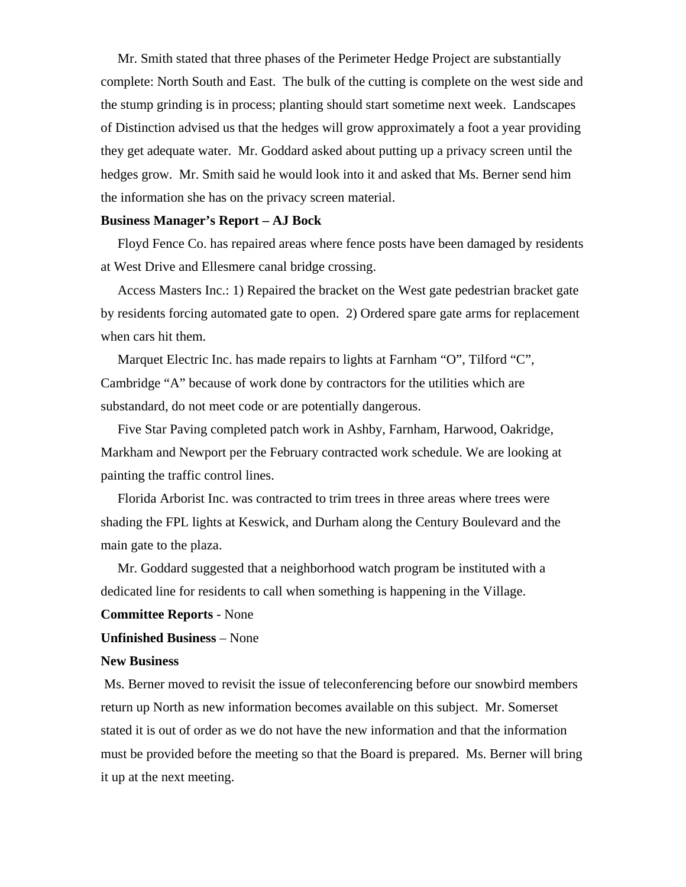Mr. Smith stated that three phases of the Perimeter Hedge Project are substantially complete: North South and East. The bulk of the cutting is complete on the west side and the stump grinding is in process; planting should start sometime next week. Landscapes of Distinction advised us that the hedges will grow approximately a foot a year providing they get adequate water. Mr. Goddard asked about putting up a privacy screen until the hedges grow. Mr. Smith said he would look into it and asked that Ms. Berner send him the information she has on the privacy screen material.

# **Business Manager's Report – AJ Bock**

 Floyd Fence Co. has repaired areas where fence posts have been damaged by residents at West Drive and Ellesmere canal bridge crossing.

 Access Masters Inc.: 1) Repaired the bracket on the West gate pedestrian bracket gate by residents forcing automated gate to open. 2) Ordered spare gate arms for replacement when cars hit them.

 Marquet Electric Inc. has made repairs to lights at Farnham "O", Tilford "C", Cambridge "A" because of work done by contractors for the utilities which are substandard, do not meet code or are potentially dangerous.

 Five Star Paving completed patch work in Ashby, Farnham, Harwood, Oakridge, Markham and Newport per the February contracted work schedule. We are looking at painting the traffic control lines.

 Florida Arborist Inc. was contracted to trim trees in three areas where trees were shading the FPL lights at Keswick, and Durham along the Century Boulevard and the main gate to the plaza.

 Mr. Goddard suggested that a neighborhood watch program be instituted with a dedicated line for residents to call when something is happening in the Village.

# **Committee Reports** - None

# **Unfinished Business** – None

### **New Business**

Ms. Berner moved to revisit the issue of teleconferencing before our snowbird members return up North as new information becomes available on this subject. Mr. Somerset stated it is out of order as we do not have the new information and that the information must be provided before the meeting so that the Board is prepared. Ms. Berner will bring it up at the next meeting.